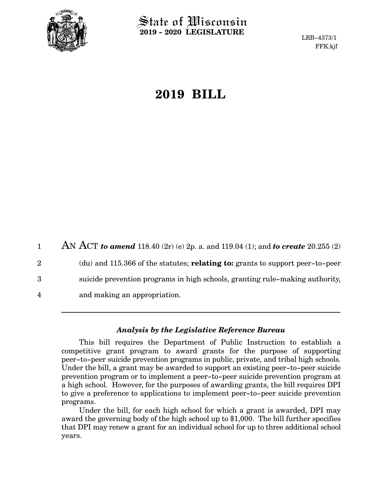

 $\operatorname{\mathsf{State}}$  of Wisconsin **2019 - 2020 LEGISLATURE**

LRB-4373/1 FFK:kjf

# **2019 BILL**

AN ACT *to amend* 118.40 (2r) (e) 2p. a. and 119.04 (1); and *to create* 20.255 (2) (du) and 115.366 of the statutes; **relating to:** grants to support peer-to-peer suicide prevention programs in high schools, granting rule-making authority, and making an appropriation. 1 2 3 4

### *Analysis by the Legislative Reference Bureau*

This bill requires the Department of Public Instruction to establish a competitive grant program to award grants for the purpose of supporting peer-to-peer suicide prevention programs in public, private, and tribal high schools. Under the bill, a grant may be awarded to support an existing peer-to-peer suicide prevention program or to implement a peer-to-peer suicide prevention program at a high school. However, for the purposes of awarding grants, the bill requires DPI to give a preference to applications to implement peer-to-peer suicide prevention programs.

Under the bill, for each high school for which a grant is awarded, DPI may award the governing body of the high school up to \$1,000. The bill further specifies that DPI may renew a grant for an individual school for up to three additional school years.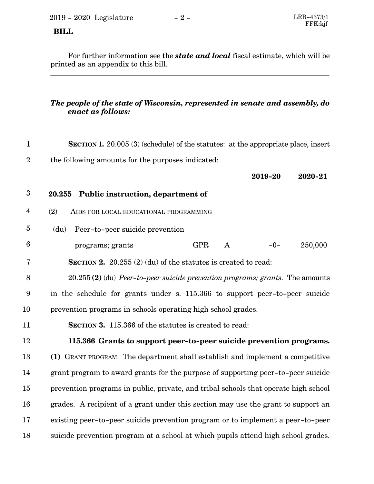2019 - 2020 Legislature - 2 - LRB-4373/1

## **BILL**

For further information see the *state and local* fiscal estimate, which will be printed as an appendix to this bill.

### *The people of the state of Wisconsin, represented in senate and assembly, do enact as follows:*

| $\mathbf{1}$    | <b>SECTION 1.</b> 20.005 (3) (schedule) of the statutes: at the appropriate place, insert |
|-----------------|-------------------------------------------------------------------------------------------|
| $\overline{2}$  | the following amounts for the purposes indicated:                                         |
|                 | 2020-21<br>2019-20                                                                        |
| 3               | Public instruction, department of<br>20.255                                               |
| $\overline{4}$  | (2)<br>AIDS FOR LOCAL EDUCATIONAL PROGRAMMING                                             |
| $\bf 5$         | (du)<br>Peer-to-peer suicide prevention                                                   |
| $6\phantom{1}6$ | 250,000<br><b>GPR</b><br>$\mathbf{A}$<br>$-0-$<br>programs; grants                        |
| $\overline{7}$  | <b>SECTION 2.</b> 20.255 (2) (du) of the statutes is created to read:                     |
| 8               | $20.255(2)$ (du) Peer-to-peer suicide prevention programs; grants. The amounts            |
| 9               | in the schedule for grants under s. 115.366 to support peer-to-peer suicide               |
| 10              | prevention programs in schools operating high school grades.                              |
| 11              | SECTION 3. 115.366 of the statutes is created to read:                                    |
| 12              | 115.366 Grants to support peer-to-peer suicide prevention programs.                       |
| 13              | (1) GRANT PROGRAM. The department shall establish and implement a competitive             |
| 14              | grant program to award grants for the purpose of supporting peer-to-peer suicide          |
| 15              | prevention programs in public, private, and tribal schools that operate high school       |
| 16              | grades. A recipient of a grant under this section may use the grant to support an         |
| 17              | existing peer-to-peer suicide prevention program or to implement a peer-to-peer           |
| 18              | suicide prevention program at a school at which pupils attend high school grades.         |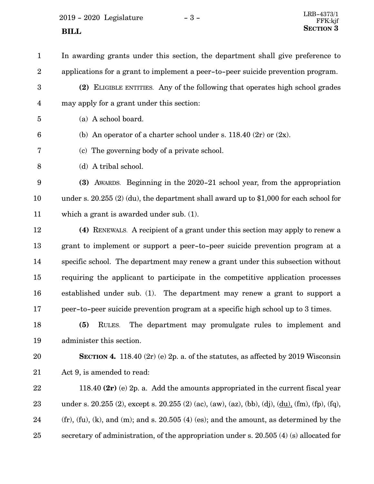$2019 - 2020$  Legislature  $-3 -$ **SECTION** 3

In awarding grants under this section, the department shall give preference to applications for a grant to implement a peer-to-peer suicide prevention program. 1 2

- **(2)** ELIGIBLE ENTITIES. Any of the following that operates high school grades may apply for a grant under this section: 3 4
- (a) A school board. 5
- (b) An operator of a charter school under s.  $118.40$  (2r) or (2x). 6
- (c) The governing body of a private school. 7
- (d) A tribal school. 8

**(3)** AWARDS. Beginning in the 2020-21 school year, from the appropriation under s. 20.255 (2) (du), the department shall award up to \$1,000 for each school for which a grant is awarded under sub. (1). 9 10 11

**(4)** RENEWALS. A recipient of a grant under this section may apply to renew a grant to implement or support a peer-to-peer suicide prevention program at a specific school. The department may renew a grant under this subsection without requiring the applicant to participate in the competitive application processes established under sub. (1). The department may renew a grant to support a peer-to-peer suicide prevention program at a specific high school up to 3 times. 12 13 14 15 16 17

**(5)** RULES. The department may promulgate rules to implement and administer this section. 18 19

**SECTION 4.** 118.40 (2r) (e) 2p. a. of the statutes, as affected by 2019 Wisconsin Act 9, is amended to read: 20 21

118.40 **(2r)** (e) 2p. a. Add the amounts appropriated in the current fiscal year under s. 20.255 (2), except s. 20.255 (2) (ac), (aw), (az), (bb), (dj), (du), (fm), (fp), (fq),  $(f_r)$ ,  $(f_u)$ ,  $(k)$ , and  $(m)$ ; and s. 20.505  $(4)$  (es); and the amount, as determined by the secretary of administration, of the appropriation under s. 20.505 (4) (s) allocated for 22 23 24 25